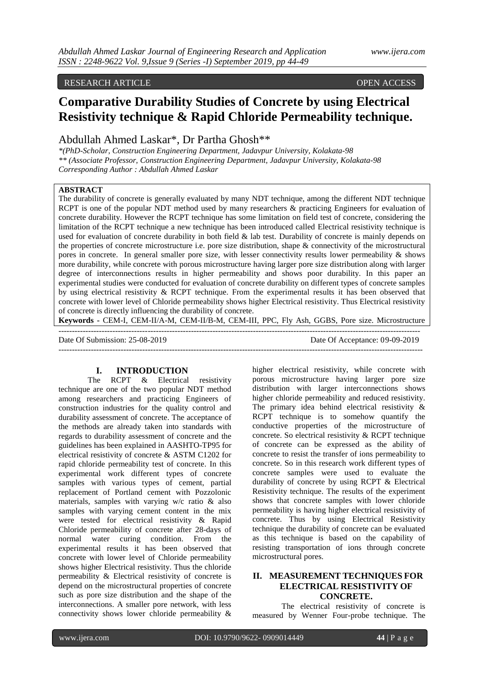## RESEARCH ARTICLE OPEN ACCESS OPEN ACCESS

# **Comparative Durability Studies of Concrete by using Electrical Resistivity technique & Rapid Chloride Permeability technique.**

Abdullah Ahmed Laskar\*, Dr Partha Ghosh\*\*

*\*(PhD-Scholar, Construction Engineering Department, Jadavpur University, Kolakata-98 \*\* (Associate Professor, Construction Engineering Department, Jadavpur University, Kolakata-98 Corresponding Author : Abdullah Ahmed Laskar*

# **ABSTRACT**

The durability of concrete is generally evaluated by many NDT technique, among the different NDT technique RCPT is one of the popular NDT method used by many researchers & practicing Engineers for evaluation of concrete durability. However the RCPT technique has some limitation on field test of concrete, considering the limitation of the RCPT technique a new technique has been introduced called Electrical resistivity technique is used for evaluation of concrete durability in both field & lab test. Durability of concrete is mainly depends on the properties of concrete microstructure i.e. pore size distribution, shape & connectivity of the microstructural pores in concrete. In general smaller pore size, with lesser connectivity results lower permeability & shows more durability, while concrete with porous microstructure having larger pore size distribution along with larger degree of interconnections results in higher permeability and shows poor durability. In this paper an experimental studies were conducted for evaluation of concrete durability on different types of concrete samples by using electrical resistivity & RCPT technique. From the experimental results it has been observed that concrete with lower level of Chloride permeability shows higher Electrical resistivity. Thus Electrical resistivity of concrete is directly influencing the durability of concrete.

**Keywords -** CEM-I, CEM-II/A-M, CEM-II/B-M, CEM-III, PPC, Fly Ash, GGBS, Pore size. Microstructure

-------------------------------------------------------------------------------------------------------------------------------------- Date Of Submission: 25-08-2019 Date Of Acceptance: 09-09-2019 ---------------------------------------------------------------------------------------------------------------------------------------

#### **I. INTRODUCTION**

The RCPT & Electrical resistivity technique are one of the two popular NDT method among researchers and practicing Engineers of construction industries for the quality control and durability assessment of concrete. The acceptance of the methods are already taken into standards with regards to durability assessment of concrete and the guidelines has been explained in AASHTO-TP95 for electrical resistivity of concrete & ASTM C1202 for rapid chloride permeability test of concrete. In this experimental work different types of concrete samples with various types of cement, partial replacement of Portland cement with Pozzolonic materials, samples with varying w/c ratio & also samples with varying cement content in the mix were tested for electrical resistivity & Rapid Chloride permeability of concrete after 28-days of normal water curing condition. From the experimental results it has been observed that concrete with lower level of Chloride permeability shows higher Electrical resistivity. Thus the chloride permeability & Electrical resistivity of concrete is depend on the microstructural properties of concrete such as pore size distribution and the shape of the interconnections. A smaller pore network, with less connectivity shows lower chloride permeability &

higher electrical resistivity, while concrete with porous microstructure having larger pore size distribution with larger interconnections shows higher chloride permeability and reduced resistivity. The primary idea behind electrical resistivity & RCPT technique is to somehow quantify the conductive properties of the microstructure of concrete. So electrical resistivity & RCPT technique of concrete can be expressed as the ability of concrete to resist the transfer of ions permeability to concrete. So in this research work different types of concrete samples were used to evaluate the durability of concrete by using RCPT & Electrical Resistivity technique. The results of the experiment shows that concrete samples with lower chloride permeability is having higher electrical resistivity of concrete. Thus by using Electrical Resistivity technique the durability of concrete can be evaluated as this technique is based on the capability of resisting transportation of ions through concrete microstructural pores.

# **II. MEASUREMENT TECHNIQUES FOR ELECTRICAL RESISTIVITY OF CONCRETE.**

The electrical resistivity of concrete is measured by Wenner Four-probe technique. The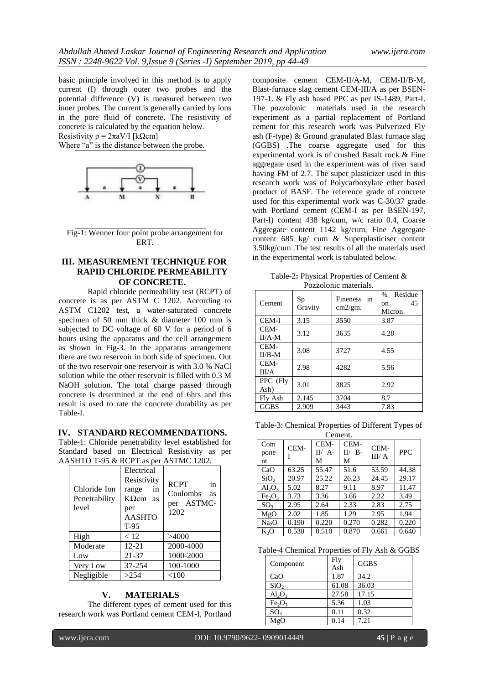basic principle involved in this method is to apply current (I) through outer two probes and the potential difference (V) is measured between two inner probes. The current is generally carried by ions in the pore fluid of concrete. The resistivity of concrete is calculated by the equation below. Resistivity  $\rho = 2\pi aV/I$  [kΩcm]

Where "a" is the distance between the probe.



Fig-1: Wenner four point probe arrangement for ERT.

# **III. MEASUREMENT TECHNIQUE FOR RAPID CHLORIDE PERMEABILITY OF CONCRETE.**

Rapid chloride permeability test (RCPT) of concrete is as per ASTM C 1202. According to ASTM C1202 test, a water-saturated concrete specimen of 50 mm thick & diameter 100 mm is subjected to DC voltage of 60 V for a period of 6 hours using the apparatus and the cell arrangement as shown in Fig-3. In the apparatus arrangement there are two reservoir in both side of specimen. Out of the two reservoir one reservoir is with 3.0 % NaCl solution while the other reservoir is filled with 0.3 M NaOH solution. The total charge passed through concrete is determined at the end of 6hrs and this result is used to rate the concrete durability as per Table-I.

#### **IV. STANDARD RECOMMENDATIONS.**

Table-1: Chloride penetrability level established for Standard based on Electrical Resistivity as per AASHTO T-95 & RCPT as per ASTMC 1202.

|                                        | 1.0111017202101101101101110111012021                                                        |                                                                  |  |  |  |
|----------------------------------------|---------------------------------------------------------------------------------------------|------------------------------------------------------------------|--|--|--|
| Chloride Ion<br>Penetrability<br>level | Electrical<br>Resistivity<br>range<br>in<br>$K\Omega$ cm as<br>per<br><b>AASHTO</b><br>T-95 | <b>RCPT</b><br>in<br>Coulombs<br><b>as</b><br>per ASTMC-<br>1202 |  |  |  |
| High                                   | < 12                                                                                        | >4000                                                            |  |  |  |
| Moderate                               | $12 - 21$                                                                                   | 2000-4000                                                        |  |  |  |
| Low                                    | 21-37                                                                                       | 1000-2000                                                        |  |  |  |
| Very Low                               | 37-254                                                                                      | 100-1000                                                         |  |  |  |
| Negligible                             | >254                                                                                        | $<$ 100                                                          |  |  |  |

### **V. MATERIALS**

The different types of cement used for this research work was Portland cement CEM-I, Portland composite cement CEM-II/A-M, CEM-II/B-M, Blast-furnace slag cement CEM-III/A as per BSEN-197-1. & Fly ash based PPC as per IS-1489, Part-I. The pozzolonic materials used in the research experiment as a partial replacement of Portland cement for this research work was Pulverized Fly ash (F-type) & Ground granulated Blast furnace slag (GGBS) .The coarse aggregate used for this experimental work is of crushed Basalt rock & Fine aggregate used in the experiment was of river sand having FM of 2.7. The super plasticizer used in this research work was of Polycarboxylate ether based product of BASF. The reference grade of concrete used for this experimental work was C-30/37 grade with Portland cement (CEM-I as per BSEN-197, Part-I) content 438 kg/cum, w/c ratio 0.4, Coarse Aggregate content 1142 kg/cum, Fine Aggregate content 685 kg/ cum & Superplasticiser content 3.50kg/cum .The test results of all the materials used in the experimental work is tabulated below.

Table-2**:** Physical Properties of Cement & Pozzolonic materials.

| 1 O <i>L</i> LOIOIII IIKKOIKIN. |               |                                     |                                       |  |
|---------------------------------|---------------|-------------------------------------|---------------------------------------|--|
| Cement                          | Sp<br>Gravity | <b>Fineness</b><br>in<br>$cm2/gm$ . | Residue<br>$\%$<br>45<br>on<br>Micron |  |
| <b>CEM-I</b>                    | 3.15          | 3550                                | 3.87                                  |  |
| CEM-<br>$II/A-M$                | 3.12          | 3635                                | 4.28                                  |  |
| CEM-<br>$II/B-M$                | 3.08          | 3727                                | 4.55                                  |  |
| CEM-<br>III/A                   | 2.98          | 4282                                | 5.56                                  |  |
| PPC (Fly<br>Ash)                | 3.01          | 3825                                | 2.92                                  |  |
| Fly Ash                         | 2.145         | 3704                                | 8.7                                   |  |
| <b>GGBS</b>                     | 2.909         | 3443                                | 7.83                                  |  |

Table-3: Chemical Properties of Different Types of Comont

|                   | CULUTIII. |                               |                        |                |            |
|-------------------|-----------|-------------------------------|------------------------|----------------|------------|
| Com<br>pone<br>nt | CEM-      | CEM-<br>$A -$<br>$\Pi$ /<br>М | CEM-<br>$II/ B$ -<br>М | CEM-<br>III/ A | <b>PPC</b> |
| CaO               | 63.25     | 55.47                         | 51.6                   | 53.59          | 44.38      |
| SiO <sub>2</sub>  | 20.97     | 25.22                         | 26.23                  | 24.45          | 29.17      |
| $Al_2O_3$         | 5.02      | 8.27                          | 9.11                   | 8.97           | 11.47      |
| $Fe_2O_3$         | 3.73      | 3.36                          | 3.66                   | 2.22           | 3.49       |
| SO <sub>3</sub>   | 2.95      | 2.64                          | 2.33                   | 2.83           | 2.75       |
| MgO               | 2.02      | 1.85                          | 1.29                   | 2.95           | 1.94       |
| Na <sub>2</sub> O | 0.190     | 0.220                         | 0.270                  | 0.282          | 0.220      |
| $K_2O$            | 0.530     | 0.510                         | 0.870                  | 0.661          | 0.640      |

Table-4 Chemical Properties of Fly Ash & GGBS

| Component                      | Fly<br>Ash | <b>GGBS</b> |
|--------------------------------|------------|-------------|
| CaO                            | 1.87       | 34.2        |
| SiO <sub>2</sub>               | 61.08      | 36.03       |
| $Al_2O_3$                      | 27.58      | 17.15       |
| Fe <sub>2</sub> O <sub>3</sub> | 5.36       | 1.03        |
| SO <sub>3</sub>                | 0.11       | 0.32        |
| MgO                            | 0.14       | 7.21        |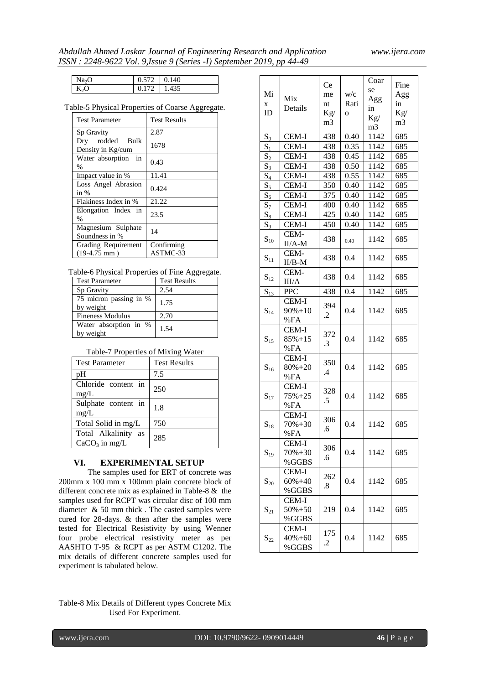# *Abdullah Ahmed Laskar Journal of Engineering Research and Application www.ijera.com ISSN : 2248-9622 Vol. 9,Issue 9 (Series -I) September 2019, pp 44-49*

| Na2C | 0.572 | 0.140 |
|------|-------|-------|
| K.∩  | 172   | .435  |

## Table-5 Physical Properties of Coarse Aggregate.

| <b>Test Parameter</b>                | Test Results |
|--------------------------------------|--------------|
| Sp Gravity                           | 2.87         |
| Dry rodded Bulk<br>Density in Kg/cum | 1678         |
| in<br>Water absorption<br>%          | 0.43         |
| Impact value in %                    | 11.41        |
| Loss Angel Abrasion<br>in %          | 0.424        |
| Flakiness Index in %                 | 21.22        |
| Elongation Index in<br>%             | 23.5         |
| Magnesium Sulphate<br>Soundness in % | 14           |
| Grading Requirement                  | Confirming   |
| $(19-4.75$ mm)                       | ASTMC-33     |

# Table-6 Physical Properties of Fine Aggregate.

| <b>Test Parameter</b>               | <b>Test Results</b> |
|-------------------------------------|---------------------|
| Sp Gravity                          | 2.54                |
| 75 micron passing in %<br>by weight | 1.75                |
| <b>Fineness Modulus</b>             | 2.70                |
| Water absorption in %<br>by weight  | 1.54                |

## Table-7 Properties of Mixing Water

| <b>Test Parameter</b>                     | <b>Test Results</b> |
|-------------------------------------------|---------------------|
| pH                                        | 7.5                 |
| Chloride content in<br>mg/L               | 250                 |
| Sulphate content in<br>mg/L               | 1.8                 |
| Total Solid in mg/L                       | 750                 |
| Total Alkalinity<br>as<br>$CaCO3$ in mg/L | 285                 |

# **VI. EXPERIMENTAL SETUP**

The samples used for ERT of concrete was 200mm x 100 mm x 100mm plain concrete block of different concrete mix as explained in Table-8 & the samples used for RCPT was circular disc of 100 mm diameter & 50 mm thick . The casted samples were cured for 28-days. & then after the samples were tested for Electrical Resistivity by using Wenner four probe electrical resistivity meter as per AASHTO T-95 & RCPT as per ASTM C1202. The mix details of different concrete samples used for experiment is tabulated below.

|                   |             | Ce             |             | Coar | Fine           |
|-------------------|-------------|----------------|-------------|------|----------------|
| Mi                |             | me             | w/c         | se   | Agg            |
| X                 | Mix         | nt             | Rati        | Agg  | in             |
| ID                | Details     | $\text{Kg}/$   | $\mathbf 0$ | in   | Kg/            |
|                   |             | m <sub>3</sub> |             | Kg/  | m <sub>3</sub> |
|                   |             |                |             | m3   |                |
| $S_0$             | CEM-I       | 438            | 0.40        | 1142 | 685            |
| $S_1$             | CEM-I       | 438            | 0.35        | 1142 | 685            |
| $S_2$             | CEM-I       | 438            | 0.45        | 1142 | 685            |
| $S_3$             | CEM-I       | 438            | 0.50        | 1142 | 685            |
| $S_4$             | CEM-I       | 438            | 0.55        | 1142 | 685            |
| $S_5$             | CEM-I       | 350            | 0.40        | 1142 | 685            |
| $S_6$             | CEM-I       | 375            | 0.40        | 1142 | 685            |
| $S_7$             | CEM-I       | 400            | 0.40        | 1142 | 685            |
| $S_8$             | CEM-I       | 425            | 0.40        | 1142 | 685            |
| $S_9$             | CEM-I       | 450            | 0.40        | 1142 | 685            |
|                   | CEM-        |                |             |      |                |
| $\mathbf{S}_{10}$ | $II/A-M$    | 438            | 0.40        | 1142 | 685            |
|                   | CEM-        |                |             |      |                |
| $\mathbf{S}_{11}$ | $II/B-M$    | 438            | 0.4         | 1142 | 685            |
|                   | CEM-        |                |             |      |                |
| $\mathbf{S}_{12}$ | III/A       | 438            | 0.4         | 1142 | 685            |
|                   |             |                |             |      |                |
| $S_{13}$          | <b>PPC</b>  | 438            | 0.4         | 1142 | 685            |
|                   | CEM-I       | 394            |             |      |                |
| $\mathbf{S}_{14}$ | $90\% + 10$ | .2             | 0.4         | 1142 | 685            |
|                   | %FA         |                |             |      |                |
|                   | CEM-I       | 372            |             |      |                |
| $\mathbf{S}_{15}$ | $85% + 15$  | .3             | 0.4         | 1142 | 685            |
|                   | %FA         |                |             |      |                |
|                   | CEM-I       | 350            |             |      |                |
| $\mathbf{S}_{16}$ | $80\% + 20$ | .4             | 0.4         | 1142 | 685            |
|                   | %FA         |                |             |      |                |
|                   | CEM-I       | 328            |             |      |                |
| $\mathbf{S}_{17}$ | $75% + 25$  | .5             | 0.4         | 1142 | 685            |
|                   | %FA         |                |             |      |                |
|                   | CEM-I       | 306            |             |      |                |
| $\mathbf{S}_{18}$ | $70\% + 30$ | .6             | 0.4         | 1142 | 685            |
|                   | %FA         |                |             |      |                |
|                   | CEM-I       | 306            |             |      |                |
| $S_{19}$          | 70%+30      | .6             | 0.4         | 1142 | 685            |
|                   | %GGBS       |                |             |      |                |
|                   | CEM-I       | 262            |             |      |                |
| $\mathbf{S}_{20}$ | 60%+40      | .8             | 0.4         | 1142 | 685            |
|                   | %GGBS       |                |             |      |                |
|                   | CEM-I       |                |             |      |                |
| $S_{21}$          | 50%+50      | 219            | 0.4         | 1142 | 685            |
|                   | %GGBS       |                |             |      |                |
|                   | CEM-I       | 175            |             |      |                |
| $\mathbf{S}_{22}$ | $40\% + 60$ |                | 0.4         | 1142 | 685            |
|                   | %GGBS       | .2             |             |      |                |

Table-8 Mix Details of Different types Concrete Mix Used For Experiment.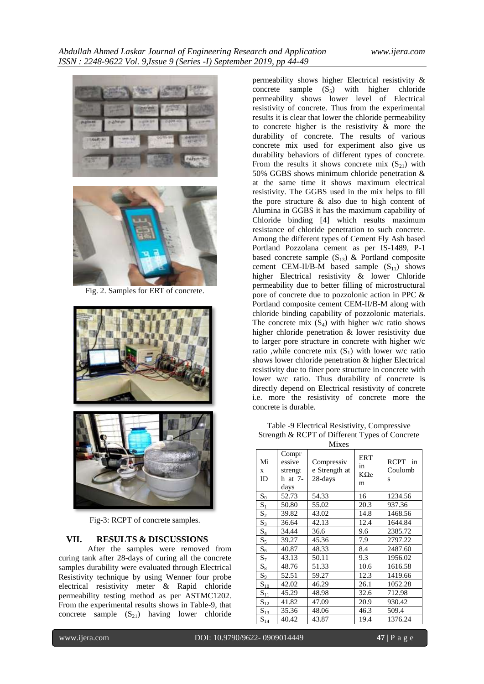



Fig. 2. Samples for ERT of concrete.





Fig-3: RCPT of concrete samples.

# **VII. RESULTS & DISCUSSIONS**

After the samples were removed from curing tank after 28-days of curing all the concrete samples durability were evaluated through Electrical Resistivity technique by using Wenner four probe electrical resistivity meter & Rapid chloride permeability testing method as per ASTMC1202. From the experimental results shows in Table-9, that concrete sample  $(S_{21})$  having lower chloride

permeability shows higher Electrical resistivity & concrete sample  $(S_5)$  with higher chloride permeability shows lower level of Electrical resistivity of concrete. Thus from the experimental results it is clear that lower the chloride permeability to concrete higher is the resistivity & more the durability of concrete. The results of various concrete mix used for experiment also give us durability behaviors of different types of concrete. From the results it shows concrete mix  $(S_{21})$  with 50% GGBS shows minimum chloride penetration & at the same time it shows maximum electrical resistivity. The GGBS used in the mix helps to fill the pore structure & also due to high content of Alumina in GGBS it has the maximum capability of Chloride binding [4] which results maximum resistance of chloride penetration to such concrete. Among the different types of Cement Fly Ash based Portland Pozzolana cement as per IS-1489, P-1 based concrete sample  $(S_{13})$  & Portland composite cement CEM-II/B-M based sample  $(S_{11})$  shows higher Electrical resistivity & lower Chloride permeability due to better filling of microstructural pore of concrete due to pozzolonic action in PPC & Portland composite cement CEM-II/B-M along with chloride binding capability of pozzolonic materials. The concrete mix  $(S_4)$  with higher w/c ratio shows higher chloride penetration & lower resistivity due to larger pore structure in concrete with higher w/c ratio ,while concrete mix  $(S_1)$  with lower w/c ratio shows lower chloride penetration & higher Electrical resistivity due to finer pore structure in concrete with lower w/c ratio. Thus durability of concrete is directly depend on Electrical resistivity of concrete i.e. more the resistivity of concrete more the concrete is durable.

Table -9 Electrical Resistivity, Compressive Strength & RCPT of Different Types of Concrete

|               | <b>Mixes</b>                                      |                                        |                                      |                                   |  |
|---------------|---------------------------------------------------|----------------------------------------|--------------------------------------|-----------------------------------|--|
| Mi<br>X<br>ID | Compr<br>essive<br>strengt<br>$h$ at $7-$<br>days | Compressiv<br>e Strength at<br>28-days | <b>ERT</b><br>in<br>$K\Omega c$<br>m | <b>RCPT</b><br>in<br>Coulomb<br>S |  |
| $S_0$         | 52.73                                             | 54.33                                  | 16                                   | 1234.56                           |  |
| $S_1$         | 50.80                                             | 55.02                                  | 20.3                                 | 937.36                            |  |
| $S_2$         | 39.82                                             | 43.02                                  | 14.8                                 | 1468.56                           |  |
| $S_3$         | 36.64                                             | 42.13                                  | 12.4                                 | 1644.84                           |  |
| $S_4$         | 34.44                                             | 36.6                                   | 9.6                                  | 2385.72                           |  |
| $S_5$         | 39.27                                             | 45.36                                  | 7.9                                  | 2797.22                           |  |
| $S_6$         | 40.87                                             | 48.33                                  | 8.4                                  | 2487.60                           |  |
| $S_7$         | 43.13                                             | 50.11                                  | 9.3                                  | 1956.02                           |  |
| $S_8$         | 48.76                                             | 51.33                                  | 10.6                                 | 1616.58                           |  |
| $S_9$         | 52.51                                             | 59.27                                  | 12.3                                 | 1419.66                           |  |
| $S_{10}$      | 42.02                                             | 46.29                                  | 26.1                                 | 1052.28                           |  |
| $S_{11}$      | 45.29                                             | 48.98                                  | 32.6                                 | 712.98                            |  |
| $S_{12}$      | 41.82                                             | 47.09                                  | 20.9                                 | 930.42                            |  |
| $S_{13}$      | 35.36                                             | 48.06                                  | 46.3                                 | 509.4                             |  |
| $S_{14}$      | 40.42                                             | 43.87                                  | 19.4                                 | 1376.24                           |  |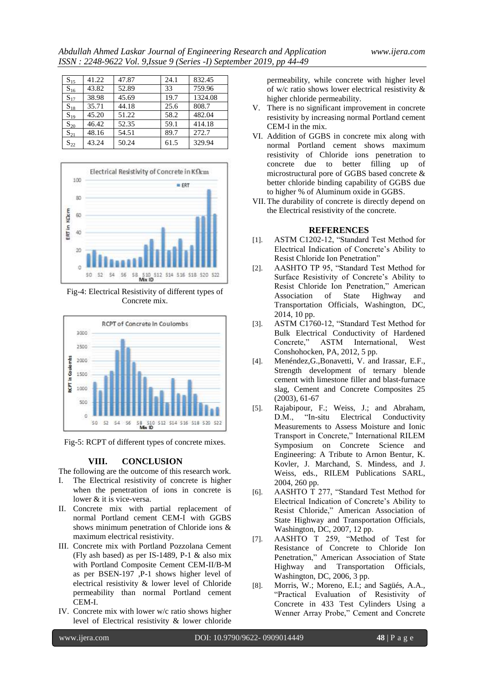| $S_{15}$ | 41.22 | 47.87 | 24.1 | 832.45  |
|----------|-------|-------|------|---------|
| $S_{16}$ | 43.82 | 52.89 | 33   | 759.96  |
| $S_{17}$ | 38.98 | 45.69 | 19.7 | 1324.08 |
| $S_{18}$ | 35.71 | 44.18 | 25.6 | 808.7   |
| $S_{19}$ | 45.20 | 51.22 | 58.2 | 482.04  |
| $S_{20}$ | 46.42 | 52.35 | 59.1 | 414.18  |
| $S_{21}$ | 48.16 | 54.51 | 89.7 | 272.7   |
| $S_{22}$ | 43.24 | 50.24 | 61.5 | 329.94  |



Fig-4: Electrical Resistivity of different types of Concrete mix.



Fig-5: RCPT of different types of concrete mixes.

# **VIII. CONCLUSION**

The following are the outcome of this research work.

- The Electrical resistivity of concrete is higher when the penetration of ions in concrete is lower & it is vice-versa.
- II. Concrete mix with partial replacement of normal Portland cement CEM-I with GGBS shows minimum penetration of Chloride ions & maximum electrical resistivity.
- III. Concrete mix with Portland Pozzolana Cement (Fly ash based) as per IS-1489, P-1 & also mix with Portland Composite Cement CEM-II/B-M as per BSEN-197 ,P-1 shows higher level of electrical resistivity & lower level of Chloride permeability than normal Portland cement CEM-I.
- IV. Concrete mix with lower w/c ratio shows higher level of Electrical resistivity & lower chloride

permeability, while concrete with higher level of w/c ratio shows lower electrical resistivity & higher chloride permeability.

- V. There is no significant improvement in concrete resistivity by increasing normal Portland cement CEM-I in the mix.
- VI. Addition of GGBS in concrete mix along with normal Portland cement shows maximum resistivity of Chloride ions penetration to concrete due to better filling up of microstructural pore of GGBS based concrete & better chloride binding capability of GGBS due to higher % of Aluminum oxide in GGBS.
- VII. The durability of concrete is directly depend on the Electrical resistivity of the concrete.

### **REFERENCES**

- [1]. ASTM C1202-12, "Standard Test Method for Electrical Indication of Concrete's Ability to Resist Chloride Ion Penetration"
- [2]. AASHTO TP 95, "Standard Test Method for Surface Resistivity of Concrete's Ability to Resist Chloride Ion Penetration," American Association of State Highway and Transportation Officials, Washington, DC, 2014, 10 pp.
- [3]. ASTM C1760-12, "Standard Test Method for Bulk Electrical Conductivity of Hardened Concrete," ASTM International, West Conshohocken, PA, 2012, 5 pp.
- [4]. Menéndez,G.,Bonavetti, V. and Irassar, E.F., Strength development of ternary blende cement with limestone filler and blast-furnace slag, Cement and Concrete Composites 25 (2003), 61-67
- [5]. Rajabipour, F.; Weiss, J.; and Abraham, D.M., "In-situ Electrical Conductivity Measurements to Assess Moisture and Ionic Transport in Concrete," International RILEM Symposium on Concrete Science and Engineering: A Tribute to Arnon Bentur, K. Kovler, J. Marchand, S. Mindess, and J. Weiss, eds., RILEM Publications SARL, 2004, 260 pp.
- [6]. AASHTO T 277, "Standard Test Method for Electrical Indication of Concrete's Ability to Resist Chloride," American Association of State Highway and Transportation Officials, Washington, DC, 2007, 12 pp.
- [7]. AASHTO T 259, "Method of Test for Resistance of Concrete to Chloride Ion Penetration," American Association of State<br>Highway and Transportation Officials, and Transportation Officials, Washington, DC, 2006, 3 pp.
- [8]. Morris, W.; Moreno, E.I.; and Sagüés, A.A., "Practical Evaluation of Resistivity of Concrete in 433 Test Cylinders Using a Wenner Array Probe," Cement and Concrete